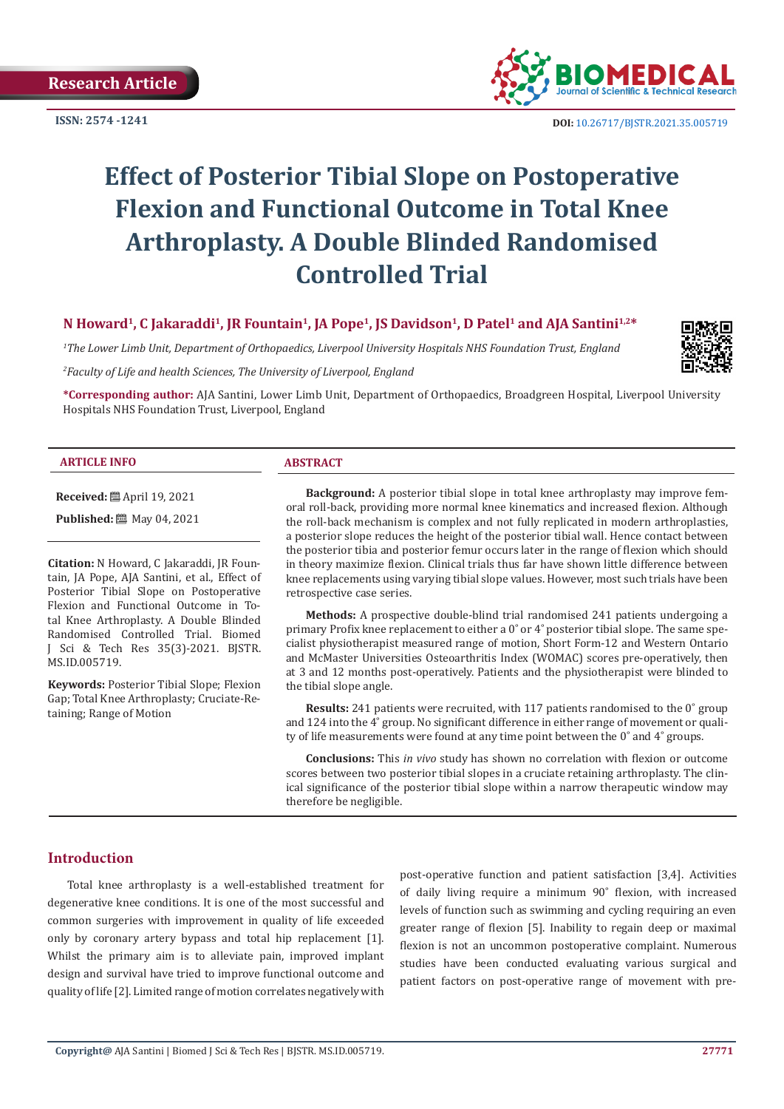**ISSN: 2574 -1241**



 **DOI:** [10.26717/BJSTR.2021.35.005719](http://dx.doi.org/10.26717/BJSTR.2021.35.005719)

# **Effect of Posterior Tibial Slope on Postoperative Flexion and Functional Outcome in Total Knee Arthroplasty. A Double Blinded Randomised Controlled Trial**

# N Howard<sup>1</sup>, C Jakaraddi<sup>1</sup>, JR Fountain<sup>1</sup>, JA Pope<sup>1</sup>, JS Davidson<sup>1</sup>, D Patel<sup>1</sup> and AJA Santini<sup>1,2\*</sup>

*1 The Lower Limb Unit, Department of Orthopaedics, Liverpool University Hospitals NHS Foundation Trust, England*

*2 Faculty of Life and health Sciences, The University of Liverpool, England*



**\*Corresponding author:** AJA Santini, Lower Limb Unit, Department of Orthopaedics, Broadgreen Hospital, Liverpool University Hospitals NHS Foundation Trust, Liverpool, England

#### **ARTICLE INFO ABSTRACT**

**Received:** April 19, 2021

**Published:** 圖 May 04, 2021

**Citation:** N Howard, C Jakaraddi, JR Fountain, JA Pope, AJA Santini, et al., Effect of Posterior Tibial Slope on Postoperative Flexion and Functional Outcome in Total Knee Arthroplasty. A Double Blinded Randomised Controlled Trial. Biomed J Sci & Tech Res 35(3)-2021. BJSTR. MS.ID.005719.

**Keywords:** Posterior Tibial Slope; Flexion Gap; Total Knee Arthroplasty; Cruciate-Retaining; Range of Motion

**Background:** A posterior tibial slope in total knee arthroplasty may improve femoral roll-back, providing more normal knee kinematics and increased flexion. Although the roll-back mechanism is complex and not fully replicated in modern arthroplasties, a posterior slope reduces the height of the posterior tibial wall. Hence contact between the posterior tibia and posterior femur occurs later in the range of flexion which should in theory maximize flexion. Clinical trials thus far have shown little difference between knee replacements using varying tibial slope values. However, most such trials have been retrospective case series.

**Methods:** A prospective double-blind trial randomised 241 patients undergoing a primary Profix knee replacement to either a 0˚ or 4˚ posterior tibial slope. The same specialist physiotherapist measured range of motion, Short Form-12 and Western Ontario and McMaster Universities Osteoarthritis Index (WOMAC) scores pre-operatively, then at 3 and 12 months post-operatively. Patients and the physiotherapist were blinded to the tibial slope angle.

**Results:** 241 patients were recruited, with 117 patients randomised to the 0° group and 124 into the 4˚ group. No significant difference in either range of movement or quality of life measurements were found at any time point between the 0˚ and 4˚ groups.

**Conclusions:** This *in vivo* study has shown no correlation with flexion or outcome scores between two posterior tibial slopes in a cruciate retaining arthroplasty. The clinical significance of the posterior tibial slope within a narrow therapeutic window may therefore be negligible.

# **Introduction**

Total knee arthroplasty is a well-established treatment for degenerative knee conditions. It is one of the most successful and common surgeries with improvement in quality of life exceeded only by coronary artery bypass and total hip replacement [1]. Whilst the primary aim is to alleviate pain, improved implant design and survival have tried to improve functional outcome and quality of life [2]. Limited range of motion correlates negatively with

post-operative function and patient satisfaction [3,4]. Activities of daily living require a minimum 90˚ flexion, with increased levels of function such as swimming and cycling requiring an even greater range of flexion [5]. Inability to regain deep or maximal flexion is not an uncommon postoperative complaint. Numerous studies have been conducted evaluating various surgical and patient factors on post-operative range of movement with pre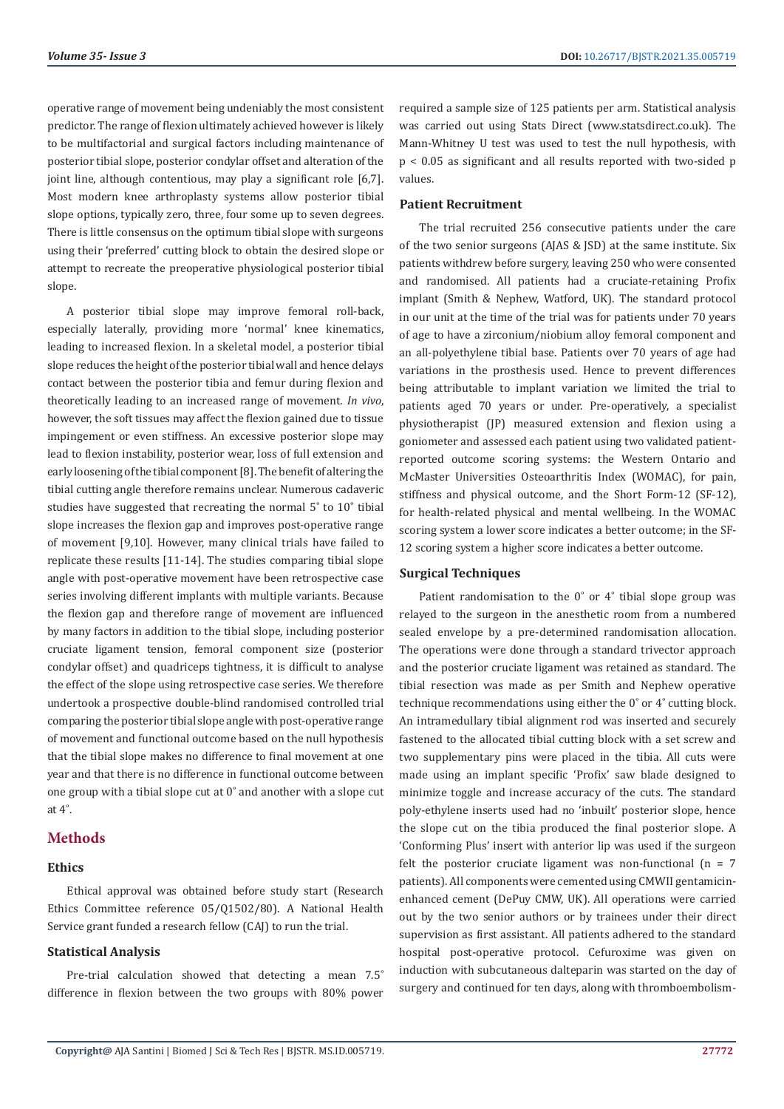operative range of movement being undeniably the most consistent predictor. The range of flexion ultimately achieved however is likely to be multifactorial and surgical factors including maintenance of posterior tibial slope, posterior condylar offset and alteration of the joint line, although contentious, may play a significant role [6,7]. Most modern knee arthroplasty systems allow posterior tibial slope options, typically zero, three, four some up to seven degrees. There is little consensus on the optimum tibial slope with surgeons using their 'preferred' cutting block to obtain the desired slope or attempt to recreate the preoperative physiological posterior tibial slope.

A posterior tibial slope may improve femoral roll-back, especially laterally, providing more 'normal' knee kinematics, leading to increased flexion. In a skeletal model, a posterior tibial slope reduces the height of the posterior tibial wall and hence delays contact between the posterior tibia and femur during flexion and theoretically leading to an increased range of movement*. In vivo*, however, the soft tissues may affect the flexion gained due to tissue impingement or even stiffness. An excessive posterior slope may lead to flexion instability, posterior wear, loss of full extension and early loosening of the tibial component [8]. The benefit of altering the tibial cutting angle therefore remains unclear. Numerous cadaveric studies have suggested that recreating the normal 5˚ to 10˚ tibial slope increases the flexion gap and improves post-operative range of movement [9,10]. However, many clinical trials have failed to replicate these results [11-14]. The studies comparing tibial slope angle with post-operative movement have been retrospective case series involving different implants with multiple variants. Because the flexion gap and therefore range of movement are influenced by many factors in addition to the tibial slope, including posterior cruciate ligament tension, femoral component size (posterior condylar offset) and quadriceps tightness, it is difficult to analyse the effect of the slope using retrospective case series. We therefore undertook a prospective double-blind randomised controlled trial comparing the posterior tibial slope angle with post-operative range of movement and functional outcome based on the null hypothesis that the tibial slope makes no difference to final movement at one year and that there is no difference in functional outcome between one group with a tibial slope cut at 0˚ and another with a slope cut at  $4^\circ$ 

#### **Methods**

#### **Ethics**

Ethical approval was obtained before study start (Research Ethics Committee reference 05/Q1502/80). A National Health Service grant funded a research fellow (CAJ) to run the trial.

#### **Statistical Analysis**

Pre-trial calculation showed that detecting a mean 7.5˚ difference in flexion between the two groups with 80% power required a sample size of 125 patients per arm. Statistical analysis was carried out using Stats Direct (www.statsdirect.co.uk). The Mann-Whitney U test was used to test the null hypothesis, with p < 0.05 as significant and all results reported with two-sided p values.

#### **Patient Recruitment**

The trial recruited 256 consecutive patients under the care of the two senior surgeons (AJAS & JSD) at the same institute. Six patients withdrew before surgery, leaving 250 who were consented and randomised. All patients had a cruciate-retaining Profix implant (Smith & Nephew, Watford, UK). The standard protocol in our unit at the time of the trial was for patients under 70 years of age to have a zirconium/niobium alloy femoral component and an all-polyethylene tibial base. Patients over 70 years of age had variations in the prosthesis used. Hence to prevent differences being attributable to implant variation we limited the trial to patients aged 70 years or under. Pre-operatively, a specialist physiotherapist (JP) measured extension and flexion using a goniometer and assessed each patient using two validated patientreported outcome scoring systems: the Western Ontario and McMaster Universities Osteoarthritis Index (WOMAC), for pain, stiffness and physical outcome, and the Short Form-12 (SF-12), for health-related physical and mental wellbeing. In the WOMAC scoring system a lower score indicates a better outcome; in the SF-12 scoring system a higher score indicates a better outcome.

#### **Surgical Techniques**

Patient randomisation to the 0˚ or 4˚ tibial slope group was relayed to the surgeon in the anesthetic room from a numbered sealed envelope by a pre-determined randomisation allocation. The operations were done through a standard trivector approach and the posterior cruciate ligament was retained as standard. The tibial resection was made as per Smith and Nephew operative technique recommendations using either the 0˚ or 4˚ cutting block. An intramedullary tibial alignment rod was inserted and securely fastened to the allocated tibial cutting block with a set screw and two supplementary pins were placed in the tibia. All cuts were made using an implant specific 'Profix' saw blade designed to minimize toggle and increase accuracy of the cuts. The standard poly-ethylene inserts used had no 'inbuilt' posterior slope, hence the slope cut on the tibia produced the final posterior slope. A 'Conforming Plus' insert with anterior lip was used if the surgeon felt the posterior cruciate ligament was non-functional ( $n = 7$ patients). All components were cemented using CMWII gentamicinenhanced cement (DePuy CMW, UK). All operations were carried out by the two senior authors or by trainees under their direct supervision as first assistant. All patients adhered to the standard hospital post-operative protocol. Cefuroxime was given on induction with subcutaneous dalteparin was started on the day of surgery and continued for ten days, along with thromboembolism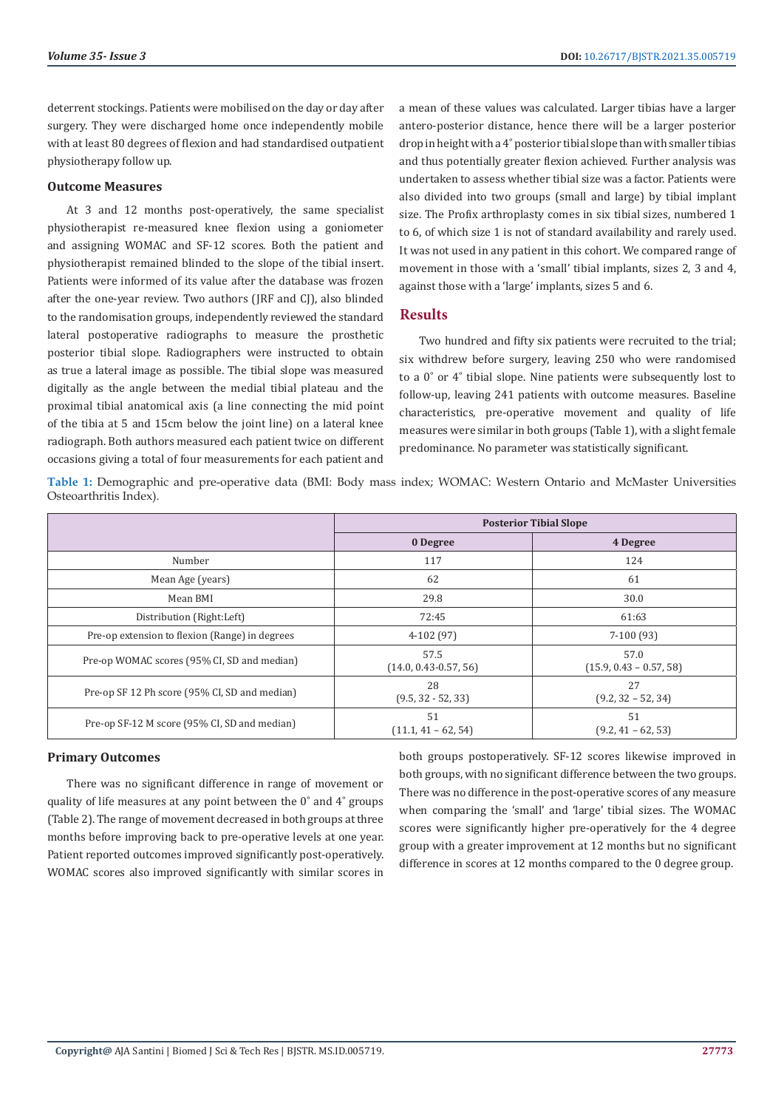deterrent stockings. Patients were mobilised on the day or day after surgery. They were discharged home once independently mobile with at least 80 degrees of flexion and had standardised outpatient physiotherapy follow up.

#### **Outcome Measures**

At 3 and 12 months post-operatively, the same specialist physiotherapist re-measured knee flexion using a goniometer and assigning WOMAC and SF-12 scores. Both the patient and physiotherapist remained blinded to the slope of the tibial insert. Patients were informed of its value after the database was frozen after the one-year review. Two authors (JRF and CJ), also blinded to the randomisation groups, independently reviewed the standard lateral postoperative radiographs to measure the prosthetic posterior tibial slope. Radiographers were instructed to obtain as true a lateral image as possible. The tibial slope was measured digitally as the angle between the medial tibial plateau and the proximal tibial anatomical axis (a line connecting the mid point of the tibia at 5 and 15cm below the joint line) on a lateral knee radiograph. Both authors measured each patient twice on different occasions giving a total of four measurements for each patient and

a mean of these values was calculated. Larger tibias have a larger antero-posterior distance, hence there will be a larger posterior drop in height with a 4˚ posterior tibial slope than with smaller tibias and thus potentially greater flexion achieved. Further analysis was undertaken to assess whether tibial size was a factor. Patients were also divided into two groups (small and large) by tibial implant size. The Profix arthroplasty comes in six tibial sizes, numbered 1 to 6, of which size 1 is not of standard availability and rarely used. It was not used in any patient in this cohort. We compared range of movement in those with a 'small' tibial implants, sizes 2, 3 and 4, against those with a 'large' implants, sizes 5 and 6.

### **Results**

Two hundred and fifty six patients were recruited to the trial; six withdrew before surgery, leaving 250 who were randomised to a 0˚ or 4˚ tibial slope. Nine patients were subsequently lost to follow-up, leaving 241 patients with outcome measures. Baseline characteristics, pre-operative movement and quality of life measures were similar in both groups (Table 1), with a slight female predominance. No parameter was statistically significant.

**Table 1:** Demographic and pre-operative data (BMI: Body mass index; WOMAC: Western Ontario and McMaster Universities Osteoarthritis Index).

|                                                | <b>Posterior Tibial Slope</b>     |                                   |  |
|------------------------------------------------|-----------------------------------|-----------------------------------|--|
|                                                | 0 Degree                          | 4 Degree                          |  |
| Number                                         | 117                               | 124                               |  |
| Mean Age (years)                               | 62                                | 61                                |  |
| Mean BMI                                       | 29.8                              | 30.0                              |  |
| Distribution (Right:Left)                      | 72:45                             | 61:63                             |  |
| Pre-op extension to flexion (Range) in degrees | $4-102(97)$                       | $7-100(93)$                       |  |
| Pre-op WOMAC scores (95% CI, SD and median)    | 57.5<br>$(14.0, 0.43 - 0.57, 56)$ | 57.0<br>$(15.9, 0.43 - 0.57, 58)$ |  |
| Pre-op SF 12 Ph score (95% CI, SD and median)  | 28<br>$(9.5, 32 - 52, 33)$        | 27<br>$(9.2, 32 - 52, 34)$        |  |
| Pre-op SF-12 M score (95% CI, SD and median)   | 51<br>$(11.1, 41 - 62, 54)$       | 51<br>$(9.2, 41 - 62, 53)$        |  |

#### **Primary Outcomes**

There was no significant difference in range of movement or quality of life measures at any point between the 0˚ and 4˚ groups (Table 2). The range of movement decreased in both groups at three months before improving back to pre-operative levels at one year. Patient reported outcomes improved significantly post-operatively. WOMAC scores also improved significantly with similar scores in

both groups postoperatively. SF-12 scores likewise improved in both groups, with no significant difference between the two groups. There was no difference in the post-operative scores of any measure when comparing the 'small' and 'large' tibial sizes. The WOMAC scores were significantly higher pre-operatively for the 4 degree group with a greater improvement at 12 months but no significant difference in scores at 12 months compared to the 0 degree group.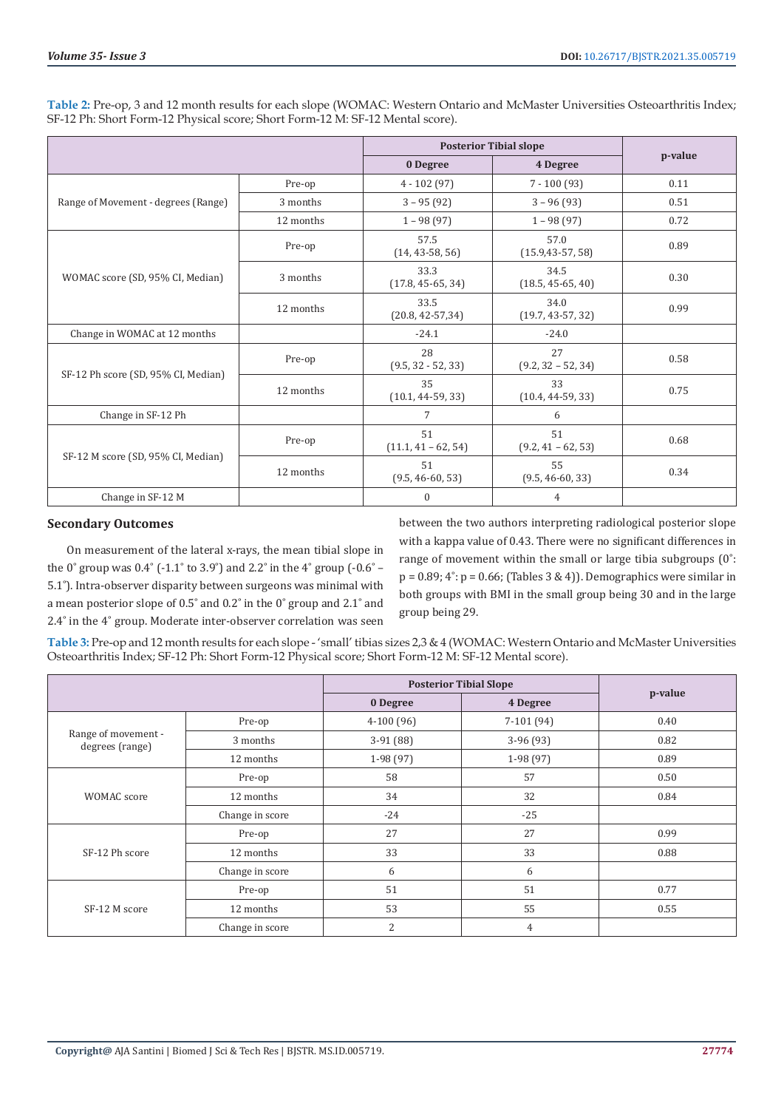|                                     |           | <b>Posterior Tibial slope</b> |                             |         |
|-------------------------------------|-----------|-------------------------------|-----------------------------|---------|
|                                     |           | 0 Degree                      | 4 Degree                    | p-value |
|                                     | Pre-op    | $4 - 102(97)$                 | $7 - 100(93)$               | 0.11    |
| Range of Movement - degrees (Range) | 3 months  | $3 - 95(92)$                  | $3 - 96(93)$                | 0.51    |
|                                     | 12 months | $1 - 98(97)$                  | $1 - 98(97)$                | 0.72    |
| WOMAC score (SD, 95% CI, Median)    | Pre-op    | 57.5<br>$(14, 43-58, 56)$     | 57.0<br>(15.9, 43.57, 58)   | 0.89    |
|                                     | 3 months  | 33.3<br>(17.8, 45.65, 34)     | 34.5<br>(18.5, 45.65, 40)   | 0.30    |
|                                     | 12 months | 33.5<br>$(20.8, 42 - 57, 34)$ | 34.0<br>$(19.7, 43-57, 32)$ | 0.99    |
| Change in WOMAC at 12 months        |           | $-24.1$                       | $-24.0$                     |         |
| SF-12 Ph score (SD, 95% CI, Median) | Pre-op    | 28<br>$(9.5, 32 - 52, 33)$    | 27<br>$(9.2, 32 - 52, 34)$  | 0.58    |
|                                     | 12 months | 35<br>$(10.1, 44-59, 33)$     | 33<br>$(10.4, 44-59, 33)$   | 0.75    |
| Change in SF-12 Ph                  |           | 7                             | 6                           |         |
| SF-12 M score (SD, 95% CI, Median)  | Pre-op    | 51<br>$(11.1, 41 - 62, 54)$   | 51<br>$(9.2, 41 - 62, 53)$  | 0.68    |
|                                     | 12 months | 51<br>$(9.5, 46-60, 53)$      | 55<br>$(9.5, 46-60, 33)$    | 0.34    |
| Change in SF-12 M                   |           | $\mathbf{0}$                  | 4                           |         |

**Table 2:** Pre-op, 3 and 12 month results for each slope (WOMAC: Western Ontario and McMaster Universities Osteoarthritis Index; SF-12 Ph: Short Form-12 Physical score; Short Form-12 M: SF-12 Mental score).

#### **Secondary Outcomes**

On measurement of the lateral x-rays, the mean tibial slope in the  $0^{\circ}$  group was  $0.4^{\circ}$  (-1.1 $^{\circ}$  to 3.9 $^{\circ}$ ) and 2.2 $^{\circ}$  in the  $4^{\circ}$  group (-0.6 $^{\circ}$  – 5.1˚). Intra-observer disparity between surgeons was minimal with a mean posterior slope of 0.5˚ and 0.2˚ in the 0˚ group and 2.1˚ and 2.4˚ in the 4˚ group. Moderate inter-observer correlation was seen

between the two authors interpreting radiological posterior slope with a kappa value of 0.43. There were no significant differences in range of movement within the small or large tibia subgroups (0˚:  $p = 0.89$ ;  $4^\circ$ :  $p = 0.66$ ; (Tables 3 & 4)). Demographics were similar in both groups with BMI in the small group being 30 and in the large group being 29.

**Table 3:** Pre-op and 12 month results for each slope - 'small' tibias sizes 2,3 & 4 (WOMAC: Western Ontario and McMaster Universities Osteoarthritis Index; SF-12 Ph: Short Form-12 Physical score; Short Form-12 M: SF-12 Mental score).

|                                        |                 | <b>Posterior Tibial Slope</b> |                |         |
|----------------------------------------|-----------------|-------------------------------|----------------|---------|
|                                        |                 | 0 Degree                      | 4 Degree       | p-value |
|                                        | Pre-op          | $4-100(96)$                   | $7-101(94)$    | 0.40    |
| Range of movement -<br>degrees (range) | 3 months        | $3-91(88)$                    | $3-96(93)$     | 0.82    |
|                                        | 12 months       | $1-98(97)$                    | $1-98(97)$     | 0.89    |
|                                        | Pre-op          | 58                            | 57             | 0.50    |
| WOMAC score                            | 12 months       | 34                            | 32             | 0.84    |
|                                        | Change in score | $-24$                         | $-25$          |         |
|                                        | Pre-op          | 27                            | 27             | 0.99    |
| SF-12 Ph score                         | 12 months       | 33                            | 33             | 0.88    |
|                                        | Change in score | 6                             | 6              |         |
| SF-12 M score                          | Pre-op          | 51                            | 51             | 0.77    |
|                                        | 12 months       | 53                            | 55             | 0.55    |
|                                        | Change in score | 2                             | $\overline{4}$ |         |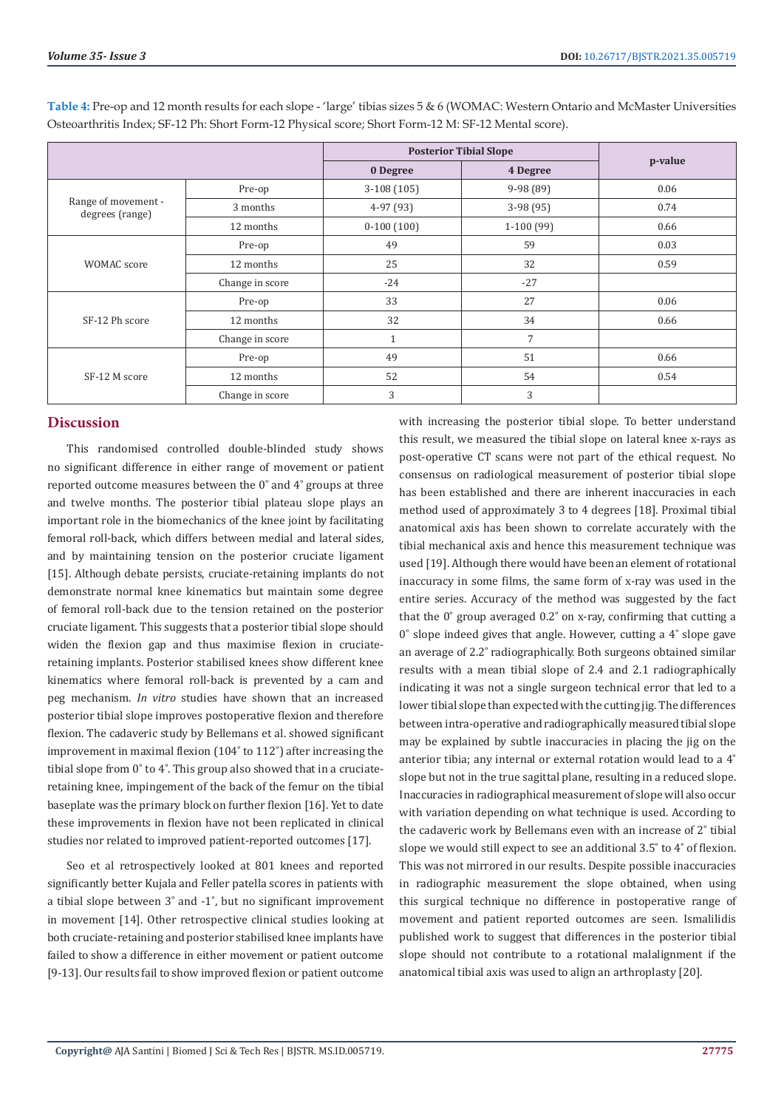|                                        |                 | <b>Posterior Tibial Slope</b> |             |         |
|----------------------------------------|-----------------|-------------------------------|-------------|---------|
|                                        |                 | 0 Degree                      | 4 Degree    | p-value |
| Range of movement -<br>degrees (range) | Pre-op          | $3-108(105)$                  | $9-98(89)$  | 0.06    |
|                                        | 3 months        | $4-97(93)$                    | $3-98(95)$  | 0.74    |
|                                        | 12 months       | $0-100(100)$                  | $1-100(99)$ | 0.66    |
| <b>WOMAC</b> score                     | Pre-op          | 49                            | 59          | 0.03    |
|                                        | 12 months       | 25                            | 32          | 0.59    |
|                                        | Change in score | $-24$                         | $-27$       |         |
|                                        | Pre-op          | 33                            | 27          | 0.06    |
| SF-12 Ph score                         | 12 months       | 32                            | 34          | 0.66    |
|                                        | Change in score | $\mathbf{1}$                  | 7           |         |
| SF-12 M score                          | Pre-op          | 49                            | 51          | 0.66    |
|                                        | 12 months       | 52                            | 54          | 0.54    |
|                                        | Change in score | 3                             | 3           |         |

**Table 4:** Pre-op and 12 month results for each slope - 'large' tibias sizes 5 & 6 (WOMAC: Western Ontario and McMaster Universities Osteoarthritis Index; SF-12 Ph: Short Form-12 Physical score; Short Form-12 M: SF-12 Mental score).

#### **Discussion**

This randomised controlled double-blinded study shows no significant difference in either range of movement or patient reported outcome measures between the 0˚ and 4˚ groups at three and twelve months. The posterior tibial plateau slope plays an important role in the biomechanics of the knee joint by facilitating femoral roll-back, which differs between medial and lateral sides, and by maintaining tension on the posterior cruciate ligament [15]. Although debate persists, cruciate-retaining implants do not demonstrate normal knee kinematics but maintain some degree of femoral roll-back due to the tension retained on the posterior cruciate ligament. This suggests that a posterior tibial slope should widen the flexion gap and thus maximise flexion in cruciateretaining implants. Posterior stabilised knees show different knee kinematics where femoral roll-back is prevented by a cam and peg mechanism. *In vitro* studies have shown that an increased posterior tibial slope improves postoperative flexion and therefore flexion. The cadaveric study by Bellemans et al. showed significant improvement in maximal flexion (104˚ to 112˚) after increasing the tibial slope from 0˚ to 4˚. This group also showed that in a cruciateretaining knee, impingement of the back of the femur on the tibial baseplate was the primary block on further flexion [16]. Yet to date these improvements in flexion have not been replicated in clinical studies nor related to improved patient-reported outcomes [17].

Seo et al retrospectively looked at 801 knees and reported significantly better Kujala and Feller patella scores in patients with a tibial slope between 3˚ and -1˚, but no significant improvement in movement [14]. Other retrospective clinical studies looking at both cruciate-retaining and posterior stabilised knee implants have failed to show a difference in either movement or patient outcome [9-13]. Our results fail to show improved flexion or patient outcome

with increasing the posterior tibial slope. To better understand this result, we measured the tibial slope on lateral knee x-rays as post-operative CT scans were not part of the ethical request. No consensus on radiological measurement of posterior tibial slope has been established and there are inherent inaccuracies in each method used of approximately 3 to 4 degrees [18]. Proximal tibial anatomical axis has been shown to correlate accurately with the tibial mechanical axis and hence this measurement technique was used [19]. Although there would have been an element of rotational inaccuracy in some films, the same form of x-ray was used in the entire series. Accuracy of the method was suggested by the fact that the  $0^{\circ}$  group averaged  $0.2^{\circ}$  on x-ray, confirming that cutting a 0˚ slope indeed gives that angle. However, cutting a 4˚ slope gave an average of 2.2˚ radiographically. Both surgeons obtained similar results with a mean tibial slope of 2.4 and 2.1 radiographically indicating it was not a single surgeon technical error that led to a lower tibial slope than expected with the cutting jig. The differences between intra-operative and radiographically measured tibial slope may be explained by subtle inaccuracies in placing the jig on the anterior tibia; any internal or external rotation would lead to a 4˚ slope but not in the true sagittal plane, resulting in a reduced slope. Inaccuracies in radiographical measurement of slope will also occur with variation depending on what technique is used. According to the cadaveric work by Bellemans even with an increase of 2˚ tibial slope we would still expect to see an additional 3.5˚ to 4˚ of flexion. This was not mirrored in our results. Despite possible inaccuracies in radiographic measurement the slope obtained, when using this surgical technique no difference in postoperative range of movement and patient reported outcomes are seen. Ismalilidis published work to suggest that differences in the posterior tibial slope should not contribute to a rotational malalignment if the anatomical tibial axis was used to align an arthroplasty [20].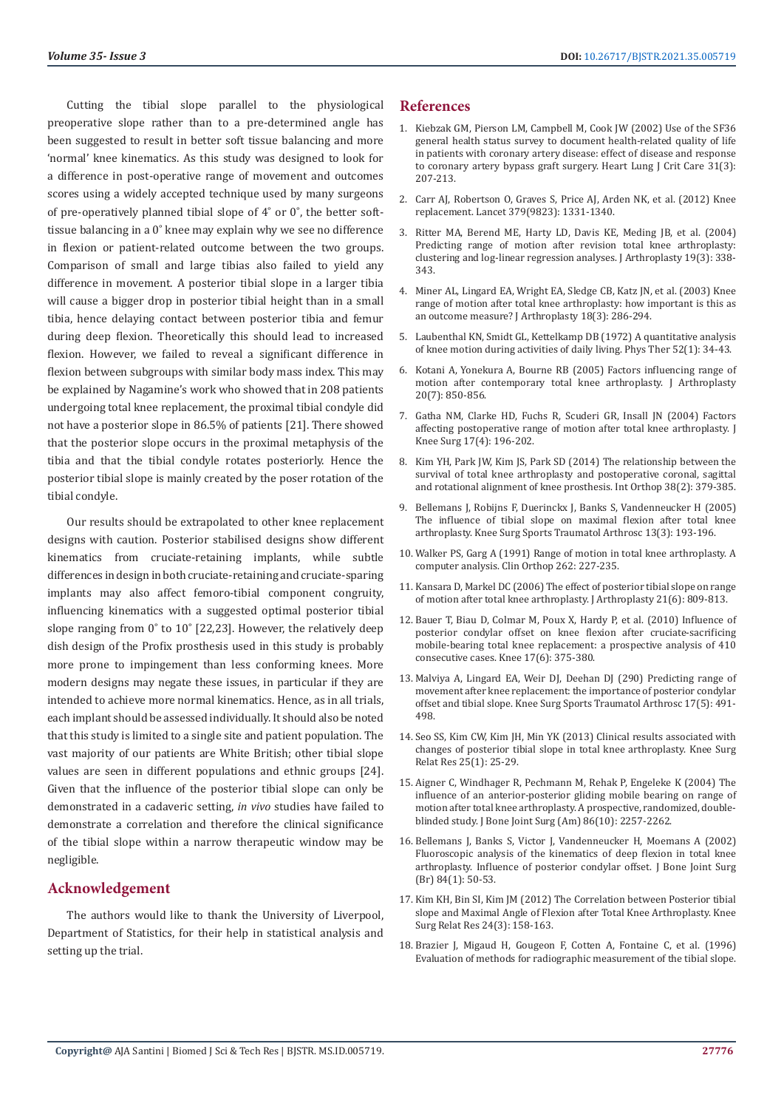Cutting the tibial slope parallel to the physiological preoperative slope rather than to a pre-determined angle has been suggested to result in better soft tissue balancing and more 'normal' knee kinematics. As this study was designed to look for a difference in post-operative range of movement and outcomes scores using a widely accepted technique used by many surgeons of pre-operatively planned tibial slope of 4˚ or 0˚, the better softtissue balancing in a 0˚ knee may explain why we see no difference in flexion or patient-related outcome between the two groups. Comparison of small and large tibias also failed to yield any difference in movement. A posterior tibial slope in a larger tibia will cause a bigger drop in posterior tibial height than in a small tibia, hence delaying contact between posterior tibia and femur during deep flexion. Theoretically this should lead to increased flexion. However, we failed to reveal a significant difference in flexion between subgroups with similar body mass index. This may be explained by Nagamine's work who showed that in 208 patients undergoing total knee replacement, the proximal tibial condyle did not have a posterior slope in 86.5% of patients [21]. There showed that the posterior slope occurs in the proximal metaphysis of the tibia and that the tibial condyle rotates posteriorly. Hence the posterior tibial slope is mainly created by the poser rotation of the tibial condyle.

Our results should be extrapolated to other knee replacement designs with caution. Posterior stabilised designs show different kinematics from cruciate-retaining implants, while subtle differences in design in both cruciate-retaining and cruciate-sparing implants may also affect femoro-tibial component congruity, influencing kinematics with a suggested optimal posterior tibial slope ranging from 0˚ to 10˚ [22,23]. However, the relatively deep dish design of the Profix prosthesis used in this study is probably more prone to impingement than less conforming knees. More modern designs may negate these issues, in particular if they are intended to achieve more normal kinematics. Hence, as in all trials, each implant should be assessed individually. It should also be noted that this study is limited to a single site and patient population. The vast majority of our patients are White British; other tibial slope values are seen in different populations and ethnic groups [24]. Given that the influence of the posterior tibial slope can only be demonstrated in a cadaveric setting, *in vivo* studies have failed to demonstrate a correlation and therefore the clinical significance of the tibial slope within a narrow therapeutic window may be negligible.

# **Acknowledgement**

The authors would like to thank the University of Liverpool, Department of Statistics, for their help in statistical analysis and setting up the trial.

#### **References**

- 1. [Kiebzak GM, Pierson LM, Campbell M, Cook JW \(2002\) Use of the SF36](https://pubmed.ncbi.nlm.nih.gov/12011811/) [general health status survey to document health-related quality of life](https://pubmed.ncbi.nlm.nih.gov/12011811/) [in patients with coronary artery disease: effect of disease and response](https://pubmed.ncbi.nlm.nih.gov/12011811/) [to coronary artery bypass graft surgery. Heart Lung J Crit Care 31\(3\):](https://pubmed.ncbi.nlm.nih.gov/12011811/) [207-213.](https://pubmed.ncbi.nlm.nih.gov/12011811/)
- 2. [Carr AJ, Robertson O, Graves S, Price AJ, Arden NK, et al. \(2012\) Knee](https://pubmed.ncbi.nlm.nih.gov/22398175/) [replacement. Lancet 379\(9823\): 1331-1340.](https://pubmed.ncbi.nlm.nih.gov/22398175/)
- 3. [Ritter MA, Berend ME, Harty LD, Davis KE, Meding JB, et al. \(2004\)](https://pubmed.ncbi.nlm.nih.gov/15067648/) [Predicting range of motion after revision total knee arthroplasty:](https://pubmed.ncbi.nlm.nih.gov/15067648/) [clustering and log-linear regression analyses. J Arthroplasty 19\(3\): 338-](https://pubmed.ncbi.nlm.nih.gov/15067648/) [343.](https://pubmed.ncbi.nlm.nih.gov/15067648/)
- 4. [Miner AL, Lingard EA, Wright EA, Sledge CB, Katz JN, et al. \(2003\) Knee](file:///F:/Journals/BJSTR.MS.ID.005719-SI/BJSTR-SPT-21-RA-274_W_SI/BJSTR-SPT-21-RA-274_W_SI/4.%09Miner%20AL,%20Lingard%20EA,%20Wright%20EA,%20Sledge%20CB,%20Katz%20JN,%20et%20al.%20(2003)%20Knee%20range%20of%20motion%20after%20total%20knee%20arthroplasty:%20how%20important%20is%20this%20as%20an%20outcome%20measure?%20J%20Arthroplasty%2018(3):%20286-294.) [range of motion after total knee arthroplasty: how important is this as](file:///F:/Journals/BJSTR.MS.ID.005719-SI/BJSTR-SPT-21-RA-274_W_SI/BJSTR-SPT-21-RA-274_W_SI/4.%09Miner%20AL,%20Lingard%20EA,%20Wright%20EA,%20Sledge%20CB,%20Katz%20JN,%20et%20al.%20(2003)%20Knee%20range%20of%20motion%20after%20total%20knee%20arthroplasty:%20how%20important%20is%20this%20as%20an%20outcome%20measure?%20J%20Arthroplasty%2018(3):%20286-294.) [an outcome measure? J Arthroplasty 18\(3\): 286-294.](file:///F:/Journals/BJSTR.MS.ID.005719-SI/BJSTR-SPT-21-RA-274_W_SI/BJSTR-SPT-21-RA-274_W_SI/4.%09Miner%20AL,%20Lingard%20EA,%20Wright%20EA,%20Sledge%20CB,%20Katz%20JN,%20et%20al.%20(2003)%20Knee%20range%20of%20motion%20after%20total%20knee%20arthroplasty:%20how%20important%20is%20this%20as%20an%20outcome%20measure?%20J%20Arthroplasty%2018(3):%20286-294.)
- 5. [Laubenthal KN, Smidt GL, Kettelkamp DB \(1972\) A quantitative analysis](https://pubmed.ncbi.nlm.nih.gov/5061683/) [of knee motion during activities of daily living. Phys Ther 52\(1\): 34-43.](https://pubmed.ncbi.nlm.nih.gov/5061683/)
- 6. [Kotani A, Yonekura A, Bourne RB \(2005\) Factors influencing range of](https://pubmed.ncbi.nlm.nih.gov/16230234/) [motion after contemporary total knee arthroplasty. J Arthroplasty](https://pubmed.ncbi.nlm.nih.gov/16230234/) [20\(7\): 850-856.](https://pubmed.ncbi.nlm.nih.gov/16230234/)
- 7. [Gatha NM, Clarke HD, Fuchs R, Scuderi GR, Insall JN \(2004\) Factors](https://pubmed.ncbi.nlm.nih.gov/15553586/) [affecting postoperative range of motion after total knee arthroplasty. J](https://pubmed.ncbi.nlm.nih.gov/15553586/) [Knee Surg 17\(4\): 196-202.](https://pubmed.ncbi.nlm.nih.gov/15553586/)
- 8. [Kim YH, Park JW, Kim JS, Park SD \(2014\) The relationship between the](https://pubmed.ncbi.nlm.nih.gov/24173677/) [survival of total knee arthroplasty and postoperative coronal, sagittal](https://pubmed.ncbi.nlm.nih.gov/24173677/) [and rotational alignment of knee prosthesis. Int Orthop 38\(2\): 379-385.](https://pubmed.ncbi.nlm.nih.gov/24173677/)
- 9. [Bellemans J, Robijns F, Duerinckx J, Banks S, Vandenneucker H \(2005\)](https://pubmed.ncbi.nlm.nih.gov/15824934/) [The influence of tibial slope on maximal flexion after total knee](https://pubmed.ncbi.nlm.nih.gov/15824934/) [arthroplasty. Knee Surg Sports Traumatol Arthrosc 13\(3\): 193-196.](https://pubmed.ncbi.nlm.nih.gov/15824934/)
- 10. [Walker PS, Garg A \(1991\) Range of motion in total knee arthroplasty. A](https://pubmed.ncbi.nlm.nih.gov/1984921/) [computer analysis. Clin Orthop 262: 227-235.](https://pubmed.ncbi.nlm.nih.gov/1984921/)
- 11. [Kansara D, Markel DC \(2006\) The effect of posterior tibial slope on range](https://pubmed.ncbi.nlm.nih.gov/16950031/) [of motion after total knee arthroplasty. J Arthroplasty 21\(6\): 809-813.](https://pubmed.ncbi.nlm.nih.gov/16950031/)
- 12. [Bauer T, Biau D, Colmar M, Poux X, Hardy P, et al. \(2010\) Influence of](https://pubmed.ncbi.nlm.nih.gov/19954982/) [posterior condylar offset on knee flexion after cruciate-sacrificing](https://pubmed.ncbi.nlm.nih.gov/19954982/) [mobile-bearing total knee replacement: a prospective analysis of 410](https://pubmed.ncbi.nlm.nih.gov/19954982/) [consecutive cases. Knee 17\(6\): 375-380.](https://pubmed.ncbi.nlm.nih.gov/19954982/)
- 13. [Malviya A, Lingard EA, Weir DJ, Deehan DJ \(290\) Predicting range of](https://pubmed.ncbi.nlm.nih.gov/19139846/) [movement after knee replacement: the importance of posterior condylar](https://pubmed.ncbi.nlm.nih.gov/19139846/) [offset and tibial slope. Knee Surg Sports Traumatol Arthrosc 17\(5\): 491-](https://pubmed.ncbi.nlm.nih.gov/19139846/) [498.](https://pubmed.ncbi.nlm.nih.gov/19139846/)
- 14. [Seo SS, Kim CW, Kim JH, Min YK \(2013\) Clinical results associated with](https://www.ncbi.nlm.nih.gov/pmc/articles/PMC3597842/) [changes of posterior tibial slope in total knee arthroplasty. Knee Surg](https://www.ncbi.nlm.nih.gov/pmc/articles/PMC3597842/) [Relat Res 25\(1\): 25-29.](https://www.ncbi.nlm.nih.gov/pmc/articles/PMC3597842/)
- 15. [Aigner C, Windhager R, Pechmann M, Rehak P, Engeleke K \(2004\) The](https://journals.lww.com/jbjsjournal/subjects/Knee/Abstract/2004/10000/The_Influence_of_an_Anterior_Posterior_Gliding.18.aspx) [influence of an anterior-posterior gliding mobile bearing on range of](https://journals.lww.com/jbjsjournal/subjects/Knee/Abstract/2004/10000/The_Influence_of_an_Anterior_Posterior_Gliding.18.aspx) [motion after total knee arthroplasty. A prospective, randomized, double](https://journals.lww.com/jbjsjournal/subjects/Knee/Abstract/2004/10000/The_Influence_of_an_Anterior_Posterior_Gliding.18.aspx)[blinded study. J Bone Joint Surg \(Am\) 86\(10\): 2257-2262.](https://journals.lww.com/jbjsjournal/subjects/Knee/Abstract/2004/10000/The_Influence_of_an_Anterior_Posterior_Gliding.18.aspx)
- 16. [Bellemans J, Banks S, Victor J, Vandenneucker H, Moemans A \(2002\)](https://pubmed.ncbi.nlm.nih.gov/11837832/) [Fluoroscopic analysis of the kinematics of deep flexion in total knee](https://pubmed.ncbi.nlm.nih.gov/11837832/) [arthroplasty. Influence of posterior condylar offset. J Bone Joint Surg](https://pubmed.ncbi.nlm.nih.gov/11837832/) [\(Br\) 84\(1\): 50-53.](https://pubmed.ncbi.nlm.nih.gov/11837832/)
- 17. [Kim KH, Bin SI, Kim JM \(2012\) The Correlation between Posterior tibial](http://www.jksrr.org/journal/view.html?doi=10.5792/ksrr.2012.24.3.158) [slope and Maximal Angle of Flexion after Total Knee Arthroplasty. Knee](http://www.jksrr.org/journal/view.html?doi=10.5792/ksrr.2012.24.3.158) [Surg Relat Res 24\(3\): 158-163.](http://www.jksrr.org/journal/view.html?doi=10.5792/ksrr.2012.24.3.158)
- 18. [Brazier J, Migaud H, Gougeon F, Cotten A, Fontaine C, et al. \(1996\)](https://pubmed.ncbi.nlm.nih.gov/9005456/) [Evaluation of methods for radiographic measurement of the tibial slope.](https://pubmed.ncbi.nlm.nih.gov/9005456/)